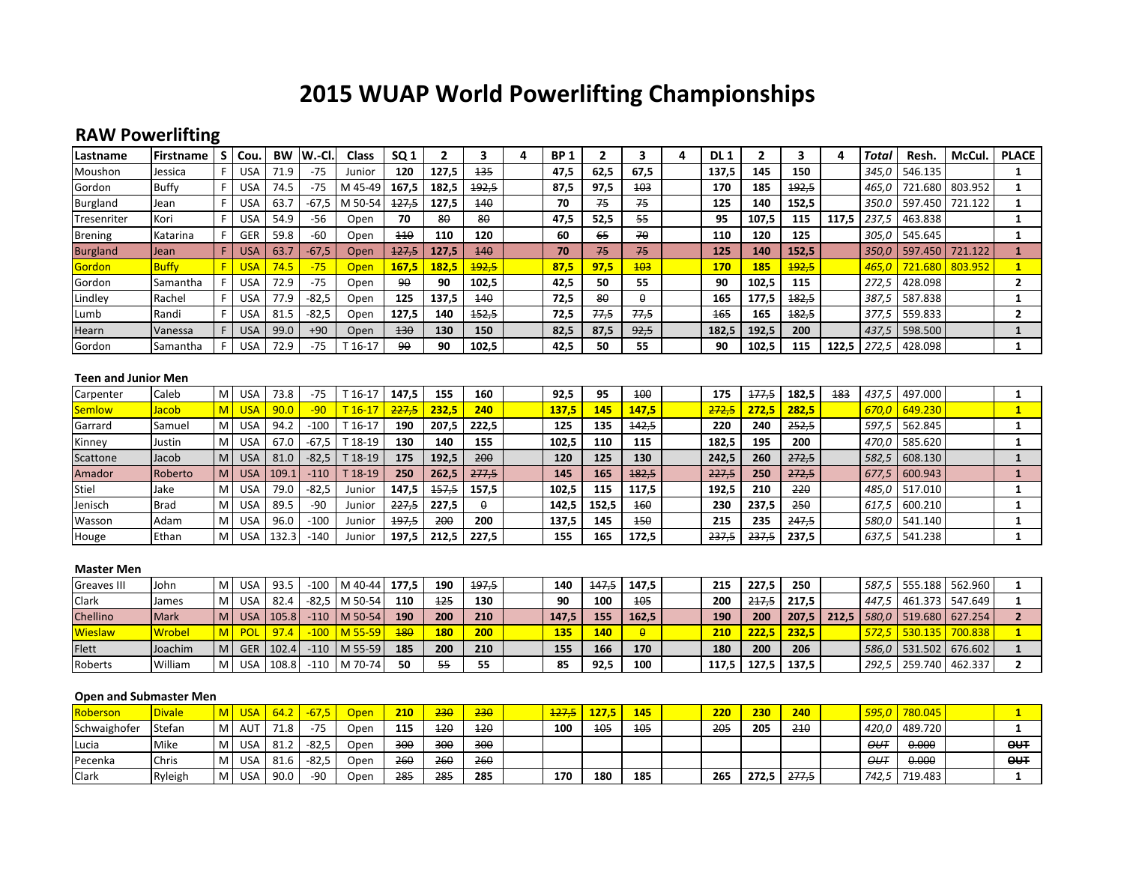# **2015 WUAP World Powerlifting Championships**

## **RAW Powerlifting**

| Lastname                                | Firstname    | S | Cou.       | <b>BW</b> | W.-Cl   | Class    | SQ <sub>1</sub> | 2         | 3            | 4 | <b>BP1</b> | 2     | 3          | 4 | DL <sub>1</sub> | $\mathbf{2}$ | 3            | 4     | Total | Resh.   | McCul.          | <b>PLACE</b>            |
|-----------------------------------------|--------------|---|------------|-----------|---------|----------|-----------------|-----------|--------------|---|------------|-------|------------|---|-----------------|--------------|--------------|-------|-------|---------|-----------------|-------------------------|
| Moushon                                 | Jessica      | F | <b>USA</b> | 71.9      | $-75$   | Junior   | 120             | 127,5     | 135          |   | 47,5       | 62,5  | 67,5       |   | 137,5           | 145          | 150          |       | 345,0 | 546.135 |                 |                         |
| Gordon                                  | <b>Buffy</b> | F | <b>USA</b> | 74.5      | $-75$   | M 45-49  | 167,5           | 182,5     | 192,5        |   | 87.5       | 97,5  | 403        |   | 170             | 185          | 192,5        |       | 465.0 | 721.680 | 803.952         | 1                       |
| Burgland                                | Jean         |   | <b>USA</b> | 63.7      | $-67,5$ | M 50-54  | 427,5           | 127,5     | 440          |   | 70         | 75    | 75         |   | 125             | 140          | 152,5        |       | 350.0 | 597.450 | 721.122         | 1                       |
| Tresenriter                             | Kori         | F | <b>USA</b> | 54.9      | -56     | Open     | 70              | $8\theta$ | 80           |   | 47,5       | 52,5  | 55         |   | 95              | 107,5        | 115          | 117,5 | 237,5 | 463.838 |                 |                         |
| <b>Brening</b>                          | Katarina     | F | <b>GER</b> | 59.8      | $-60$   | Open     | $+10$           | 110       | 120          |   | 60         | 65    | 70         |   | 110             | 120          | 125          |       | 305,0 | 545.645 |                 | 1                       |
| <b>Burgland</b>                         | Jean         | F | <b>USA</b> | 63.7      | $-67,5$ | Open     | 427,5           | 127,5     | 140          |   | 70         | 75    | 75         |   | 125             | 140          | 152.5        |       | 350.0 | 597.450 | 721.122         | 1                       |
| Gordon                                  | <b>Buffy</b> | F | <b>USA</b> | 74.5      | $-75$   | Open     | 167,5           | 182,5     | <b>192,5</b> |   | 87,5       | 97,5  | <b>103</b> |   | <b>170</b>      | 185          | <b>192,5</b> |       | 465,0 | 721.680 | 803.952         | $\overline{\mathbf{1}}$ |
| Gordon                                  | Samantha     | F | <b>USA</b> | 72.9      | $-75$   | Open     | 90              | 90        | 102,5        |   | 42,5       | 50    | 55         |   | 90              | 102,5        | 115          |       | 272,5 | 428.098 |                 | $\mathbf{2}$            |
| Lindley                                 | Rachel       | E | <b>USA</b> | 77.9      | $-82,5$ | Open     | 125             | 137.5     | 440          |   | 72,5       | 80    | θ          |   | 165             | 177.5        | 182,5        |       | 387.5 | 587.838 |                 | 1                       |
| Lumb                                    | Randi        | F | <b>USA</b> | 81.5      | $-82,5$ | Open     | 127,5           | 140       | 152,5        |   | 72,5       | 77,5  | 77,5       |   | 165             | 165          | 182,5        |       | 377,5 | 559.833 |                 | $\mathbf{2}$            |
| Hearn                                   | Vanessa      | F | <b>USA</b> | 99.0      | $+90$   | Open     | 130             | 130       | 150          |   | 82,5       | 87,5  | 92,5       |   | 182,5           | 192,5        | 200          |       | 437,5 | 598.500 |                 | $\mathbf{1}$            |
| Gordon                                  | Samantha     |   | <b>USA</b> | 72.9      | $-75$   | T 16-17  | 90              | 90        | 102,5        |   | 42,5       | 50    | 55         |   | 90              | 102,5        | 115          | 122,5 | 272,5 | 428.098 |                 | $\mathbf{1}$            |
| <b>Teen and Junior Men</b>              |              |   |            |           |         |          |                 |           |              |   |            |       |            |   |                 |              |              |       |       |         |                 |                         |
| Carpenter                               | Caleb        | M | <b>USA</b> | 73.8      | $-75$   | T 16-17  | 147,5           | 155       | 160          |   | 92,5       | 95    | 400        |   | 175             | 177,5        | 182,5        | 183   | 437,5 | 497.000 |                 | 1                       |
| <b>Semlow</b>                           | Jacob        | M | <b>USA</b> | 90.0      | $-90$   | $T16-17$ | 227,5           | 232,5     | 240          |   | 137,5      | 145   | 147,5      |   | 272,5           | 272,5        | 282,5        |       | 670.0 | 649.230 |                 | 1                       |
| Garrard                                 | Samuel       | M | <b>USA</b> | 94.2      | $-100$  | T 16-17  | 190             | 207,5     | 222,5        |   | 125        | 135   | 142,5      |   | 220             | 240          | 252,5        |       | 597,5 | 562.845 |                 | 1                       |
| Kinney                                  | Justin       | M | <b>USA</b> | 67.0      | $-67,5$ | T 18-19  | 130             | 140       | 155          |   | 102,5      | 110   | 115        |   | 182,5           | 195          | 200          |       | 470,0 | 585.620 |                 | 1                       |
| Scattone                                | Jacob        | M | <b>USA</b> | 81.0      | $-82,5$ | T 18-19  | 175             | 192,5     | 200          |   | 120        | 125   | 130        |   | 242,5           | 260          | 272,5        |       | 582.5 | 608.130 |                 |                         |
| Amador                                  | Roberto      | M | <b>USA</b> | 109.1     | $-110$  | T 18-19  | 250             | 262,5     | 277,5        |   | 145        | 165   | 182,5      |   | 227,5           | 250          | 272,5        |       | 677.5 | 600.943 |                 | 1                       |
| Stiel                                   | Jake         | M | <b>USA</b> | 79.0      | $-82,5$ | Junior   | 147,5           | 457,5     | 157,5        |   | 102,5      | 115   | 117,5      |   | 192,5           | 210          | 220          |       | 485,0 | 517.010 |                 |                         |
| Jenisch                                 | <b>Brad</b>  | M | <b>USA</b> | 89.5      | $-90$   | Junior   | 227,5           | 227,5     | θ            |   | 142,5      | 152,5 | 460        |   | 230             | 237,5        | 250          |       | 617,5 | 600.210 |                 |                         |
| Wasson                                  | Adam         | M | <b>USA</b> | 96.0      | $-100$  | Junior   | 197,5           | 200       | 200          |   | 137,5      | 145   | 450        |   | 215             | 235          | 247,5        |       | 580,0 | 541.140 |                 | 1                       |
| Houge                                   | Ethan        | M | <b>USA</b> | 132.3     | $-140$  | Junior   | 197,5           | 212,5     | 227,5        |   | 155        | 165   | 172,5      |   | 237,5           | 237,5        | 237,5        |       | 637,5 | 541.238 |                 | 1                       |
| <b>Master Men</b><br><b>Greaves III</b> | John         | M | USA        | 93.5      | $-100$  | M 40-44  | 177,5           | 190       | 197,5        |   | 140        | 447,5 | 147,5      |   | 215             | 227,5        | 250          |       | 587,5 |         | 555.188 562.960 | 1                       |
|                                         |              |   |            |           |         |          |                 |           |              |   |            |       |            |   |                 |              |              |       |       |         |                 |                         |

| Greaves III  | l John      | I M |            | USA 193.5      | -100   | I M 40-44 I        | 177.5 | 190        | <del>197.5</del> | 140              | <del>147.5</del> | 147.5      | 215   | 227.5 | 250   |       |       | <i>587,5</i>   555.188   562.960           |  |
|--------------|-------------|-----|------------|----------------|--------|--------------------|-------|------------|------------------|------------------|------------------|------------|-------|-------|-------|-------|-------|--------------------------------------------|--|
| <b>Clark</b> | James       |     | USA I      | 82.4           |        | -82.5 M 50-54      | 110   | 425        | 130              | 90               | 100              | <b>105</b> | 200   | 217.5 | 217.5 |       |       | 447.5   461.373   547.649                  |  |
| Chellino     | <b>Mark</b> |     |            | II USA 1105.81 |        | $-110$ M 50-54     | 190   | 200        | 210              | 147.5            | 155              | 162,5      | 190   | 200   | 207.5 | 212.5 |       | 580,0   519.680   627.254                  |  |
| Wieslaw      | Wrobel      |     | <b>POL</b> | $\vert$ 97.4   | $-100$ | <u>l M 55-59 l</u> | 480   | <b>180</b> | <b>200</b>       | 135 <sub>1</sub> | <b>1407</b>      | $\theta$   | 210   | 222.5 | 232.5 |       |       | <mark>  572.5   530.135   700.838  </mark> |  |
| Flett        | Joachim     |     |            | GER 102.4      |        | $-110$ M 55-59     | 185   | 200        | 210              | 155              | 166              | 170        | 180   | 200   | 206   |       |       | 586,0 531.502 676.602                      |  |
| Roberts      | William     | M   |            | USA 108.8      |        | $-110$ M 70-74     | 50    | -55        | 55               | 85               | 92,5             | 100        | 117.5 | 127.5 | 137.5 |       | 292,5 | 259.740 462.337                            |  |

#### **Open and Submaster Men**

| Roberson     | <b>Divale</b> |          | II USA | 64.2 | $-67.5$ | <b>Open</b> | 210 | 230   | 230        | 127,5 | 127,5 | 145        | 220 | 230   | 240   |             | 595,0 780.045 |             |
|--------------|---------------|----------|--------|------|---------|-------------|-----|-------|------------|-------|-------|------------|-----|-------|-------|-------------|---------------|-------------|
| Schwaighofer | Stefan        | M        | AUT    | 71.8 | -75     | Open        | 115 | $+20$ | $+20$      | 100   | 405   | <b>105</b> | 205 | 205   | 210   |             | 420,0 489.720 |             |
| Lucia        | Mike          |          | USA I  | 81.2 | $-82.5$ | Open        | 300 | -300  | 300        |       |       |            |     |       |       | $\theta$ UT | 0.000         | $\theta$ UT |
| Pecenka      | Chris         |          | USA    | 81.6 | $-82,5$ | Open        | 260 | -260  | <b>260</b> |       |       |            |     |       |       | ⊖U∓         | 0.000         | $\theta$    |
| Clark        | Ryleigh       | <b>M</b> | USA    | 90.0 | .90     | Open        | 285 | -285  | 285        | 170   | 180   | 185        | 265 | 272.5 | 277.5 | 742,5       | 719.483       |             |